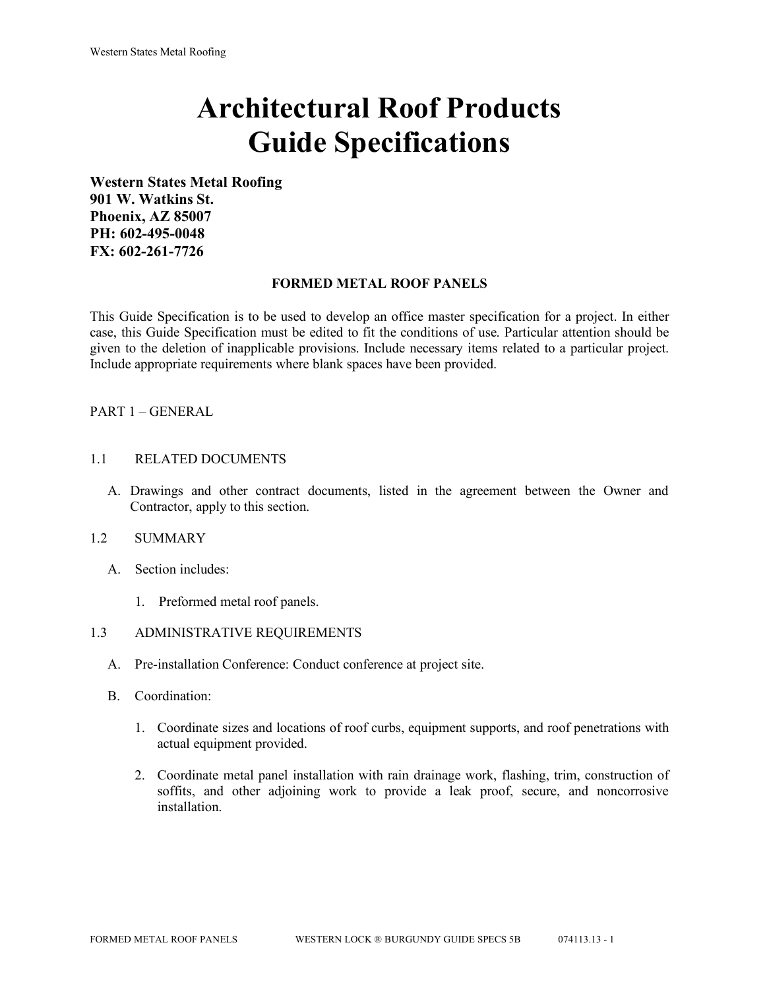# **Architectural Roof Products Guide Specifications**

**Western States Metal Roofing 901 W. Watkins St. Phoenix, AZ 85007 PH: 602-495-0048 FX: 602-261-7726**

#### **FORMED METAL ROOF PANELS**

This Guide Specification is to be used to develop an office master specification for a project. In either case, this Guide Specification must be edited to fit the conditions of use. Particular attention should be given to the deletion of inapplicable provisions. Include necessary items related to a particular project. Include appropriate requirements where blank spaces have been provided.

## PART 1 – GENERAL

#### 1.1 RELATED DOCUMENTS

A. Drawings and other contract documents, listed in the agreement between the Owner and Contractor, apply to this section.

#### 1.2 SUMMARY

- A. Section includes:
	- 1. Preformed metal roof panels.

## 1.3 ADMINISTRATIVE REQUIREMENTS

- A. Pre-installation Conference: Conduct conference at project site.
- B. Coordination:
	- 1. Coordinate sizes and locations of roof curbs, equipment supports, and roof penetrations with actual equipment provided.
	- 2. Coordinate metal panel installation with rain drainage work, flashing, trim, construction of soffits, and other adjoining work to provide a leak proof, secure, and noncorrosive installation.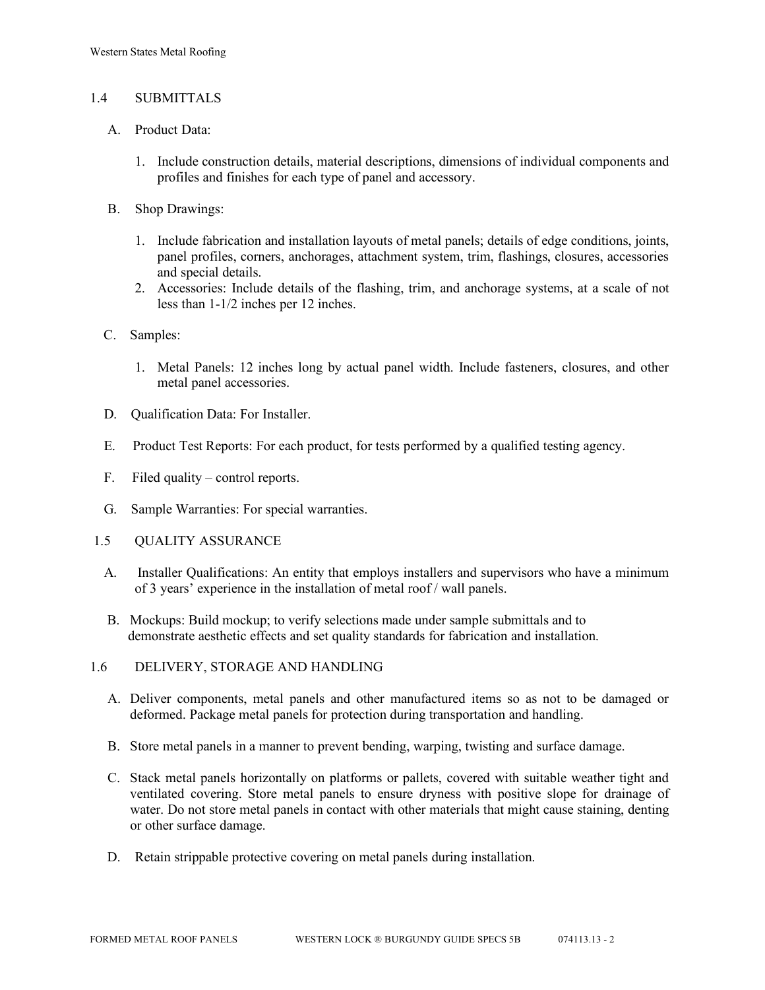## 1.4 SUBMITTALS

- A. Product Data:
	- 1. Include construction details, material descriptions, dimensions of individual components and profiles and finishes for each type of panel and accessory.
- B. Shop Drawings:
	- 1. Include fabrication and installation layouts of metal panels; details of edge conditions, joints, panel profiles, corners, anchorages, attachment system, trim, flashings, closures, accessories and special details.
	- 2. Accessories: Include details of the flashing, trim, and anchorage systems, at a scale of not less than 1-1/2 inches per 12 inches.
- C. Samples:
	- 1. Metal Panels: 12 inches long by actual panel width. Include fasteners, closures, and other metal panel accessories.
- D. Qualification Data: For Installer.
- E. Product Test Reports: For each product, for tests performed by a qualified testing agency.
- F. Filed quality control reports.
- G. Sample Warranties: For special warranties.
- 1.5 QUALITY ASSURANCE
	- A. Installer Qualifications: An entity that employs installers and supervisors who have a minimum of 3 years' experience in the installation of metal roof / wall panels.
	- B. Mockups: Build mockup; to verify selections made under sample submittals and to demonstrate aesthetic effects and set quality standards for fabrication and installation.
- 1.6 DELIVERY, STORAGE AND HANDLING
	- A. Deliver components, metal panels and other manufactured items so as not to be damaged or deformed. Package metal panels for protection during transportation and handling.
	- B. Store metal panels in a manner to prevent bending, warping, twisting and surface damage.
	- C. Stack metal panels horizontally on platforms or pallets, covered with suitable weather tight and ventilated covering. Store metal panels to ensure dryness with positive slope for drainage of water. Do not store metal panels in contact with other materials that might cause staining, denting or other surface damage.
	- D. Retain strippable protective covering on metal panels during installation.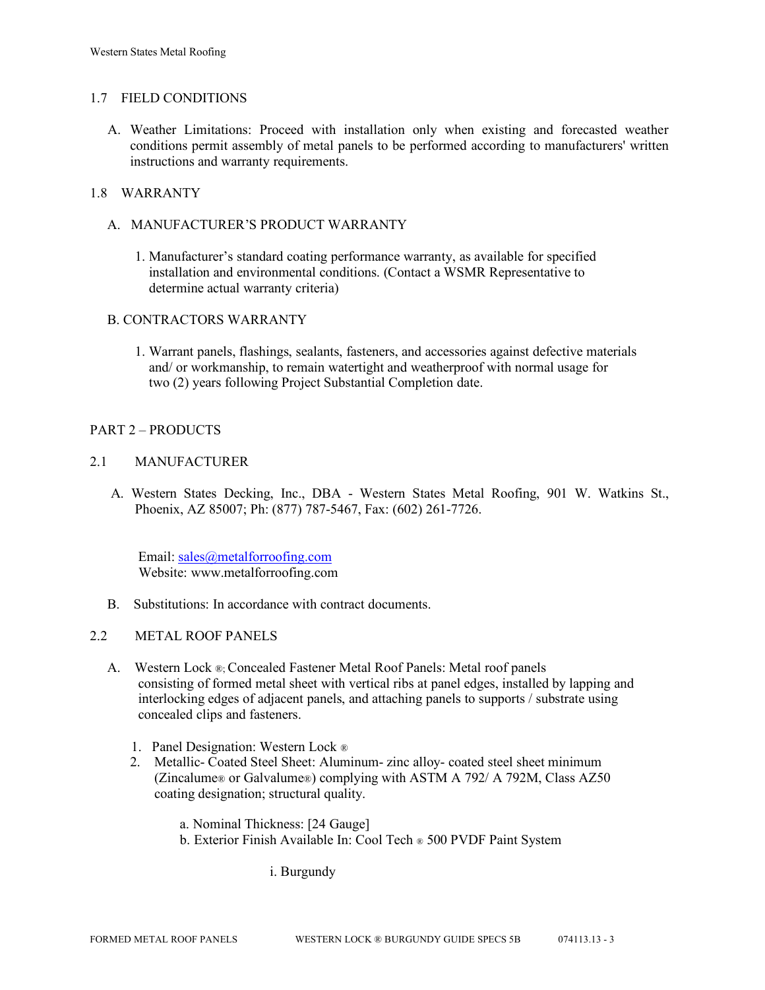### 1.7 FIELD CONDITIONS

A. Weather Limitations: Proceed with installation only when existing and forecasted weather conditions permit assembly of metal panels to be performed according to manufacturers' written instructions and warranty requirements.

## 1.8 WARRANTY

- A. MANUFACTURER'S PRODUCT WARRANTY
	- 1. Manufacturer's standard coating performance warranty, as available for specified installation and environmental conditions. (Contact a WSMR Representative to determine actual warranty criteria)

#### B. CONTRACTORS WARRANTY

1. Warrant panels, flashings, sealants, fasteners, and accessories against defective materials and/ or workmanship, to remain watertight and weatherproof with normal usage for two (2) years following Project Substantial Completion date.

## PART 2 – PRODUCTS

## 2.1 MANUFACTURER

 A. Western States Decking, Inc., DBA - Western States Metal Roofing, 901 W. Watkins St., Phoenix, AZ 85007; Ph: (877) 787-5467, Fax: (602) 261-7726.

 Email[: sales@metalforroofing.com](mailto:sales@metalforroofing.com) Website: www.metalforroofing.com

- B. Substitutions: In accordance with contract documents.
- 2.2 METAL ROOF PANELS
	- A. Western Lock ®; Concealed Fastener Metal Roof Panels: Metal roof panels consisting of formed metal sheet with vertical ribs at panel edges, installed by lapping and interlocking edges of adjacent panels, and attaching panels to supports / substrate using concealed clips and fasteners.
		- 1. Panel Designation: Western Lock ®
		- 2. Metallic- Coated Steel Sheet: Aluminum- zinc alloy- coated steel sheet minimum (Zincalume® or Galvalume®) complying with ASTM A 792/ A 792M, Class AZ50 coating designation; structural quality.
			- a. Nominal Thickness: [24 Gauge]
			- b. Exterior Finish Available In: Cool Tech ® 500 PVDF Paint System

i. Burgundy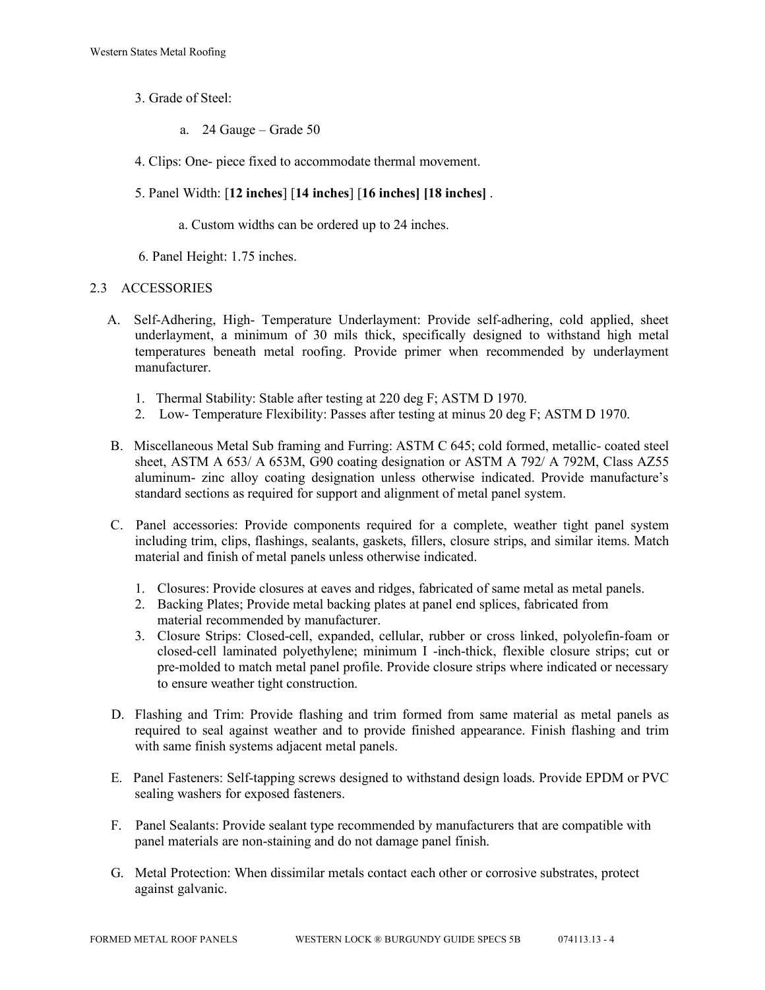- 3. Grade of Steel:
	- a. 24 Gauge Grade 50
- 4. Clips: One- piece fixed to accommodate thermal movement.
- 5. Panel Width: [**12 inches**] [**14 inches**] [**16 inches] [18 inches]** .
	- a. Custom widths can be ordered up to 24 inches.
- 6. Panel Height: 1.75 inches.

## 2.3 ACCESSORIES

- A. Self-Adhering, High- Temperature Underlayment: Provide self-adhering, cold applied, sheet underlayment, a minimum of 30 mils thick, specifically designed to withstand high metal temperatures beneath metal roofing. Provide primer when recommended by underlayment manufacturer.
	- 1. Thermal Stability: Stable after testing at 220 deg F; ASTM D 1970.
	- 2. Low- Temperature Flexibility: Passes after testing at minus 20 deg F; ASTM D 1970.
- B. Miscellaneous Metal Sub framing and Furring: ASTM C 645; cold formed, metallic- coated steel sheet, ASTM A 653/ A 653M, G90 coating designation or ASTM A 792/ A 792M, Class AZ55 aluminum- zinc alloy coating designation unless otherwise indicated. Provide manufacture's standard sections as required for support and alignment of metal panel system.
- C. Panel accessories: Provide components required for a complete, weather tight panel system including trim, clips, flashings, sealants, gaskets, fillers, closure strips, and similar items. Match material and finish of metal panels unless otherwise indicated.
	- 1. Closures: Provide closures at eaves and ridges, fabricated of same metal as metal panels.
	- 2. Backing Plates; Provide metal backing plates at panel end splices, fabricated from material recommended by manufacturer.
	- 3. Closure Strips: Closed-cell, expanded, cellular, rubber or cross linked, polyolefin-foam or closed-cell laminated polyethylene; minimum I -inch-thick, flexible closure strips; cut or pre-molded to match metal panel profile. Provide closure strips where indicated or necessary to ensure weather tight construction.
- D. Flashing and Trim: Provide flashing and trim formed from same material as metal panels as required to seal against weather and to provide finished appearance. Finish flashing and trim with same finish systems adjacent metal panels.
- E. Panel Fasteners: Self-tapping screws designed to withstand design loads. Provide EPDM or PVC sealing washers for exposed fasteners.
- F. Panel Sealants: Provide sealant type recommended by manufacturers that are compatible with panel materials are non-staining and do not damage panel finish.
- G. Metal Protection: When dissimilar metals contact each other or corrosive substrates, protect against galvanic.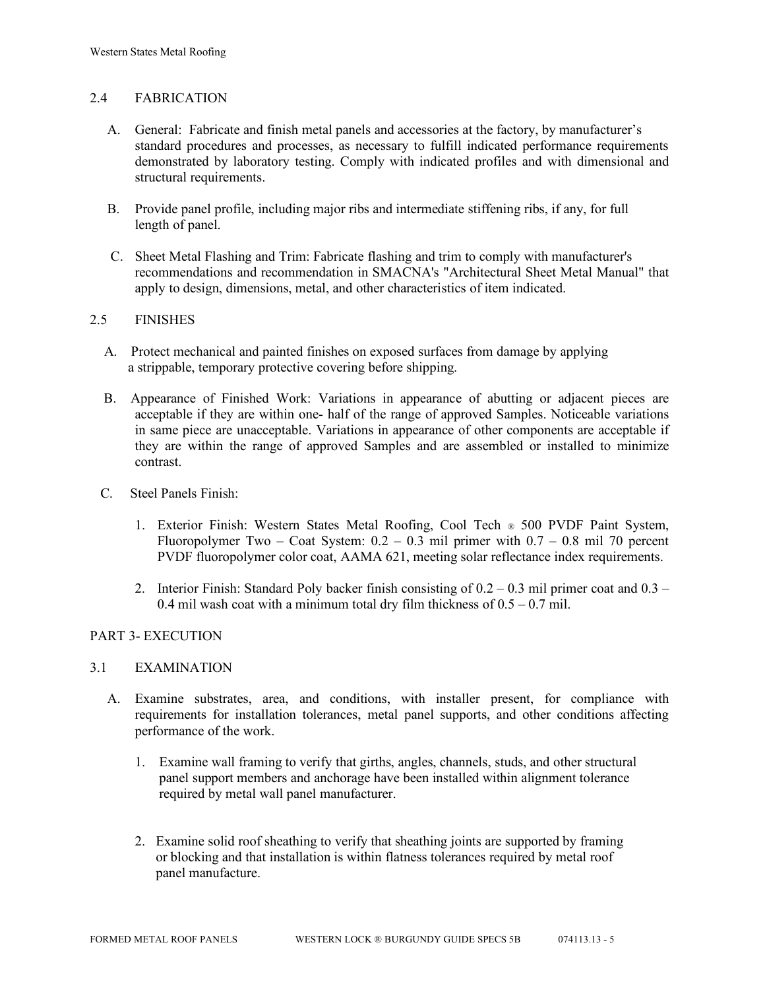## 2.4 FABRICATION

- A. General: Fabricate and finish metal panels and accessories at the factory, by manufacturer's standard procedures and processes, as necessary to fulfill indicated performance requirements demonstrated by laboratory testing. Comply with indicated profiles and with dimensional and structural requirements.
- B. Provide panel profile, including major ribs and intermediate stiffening ribs, if any, for full length of panel.
- C. Sheet Metal Flashing and Trim: Fabricate flashing and trim to comply with manufacturer's recommendations and recommendation in SMACNA's "Architectural Sheet Metal Manual" that apply to design, dimensions, metal, and other characteristics of item indicated.

## 2.5 FINISHES

- A. Protect mechanical and painted finishes on exposed surfaces from damage by applying a strippable, temporary protective covering before shipping.
- B. Appearance of Finished Work: Variations in appearance of abutting or adjacent pieces are acceptable if they are within one- half of the range of approved Samples. Noticeable variations in same piece are unacceptable. Variations in appearance of other components are acceptable if they are within the range of approved Samples and are assembled or installed to minimize contrast.
- C. Steel Panels Finish:
	- 1. Exterior Finish: Western States Metal Roofing, Cool Tech ® 500 PVDF Paint System, Fluoropolymer Two – Coat System:  $0.2 - 0.3$  mil primer with  $0.7 - 0.8$  mil 70 percent PVDF fluoropolymer color coat, AAMA 621, meeting solar reflectance index requirements.
	- 2. Interior Finish: Standard Poly backer finish consisting of  $0.2 0.3$  mil primer coat and  $0.3 -$ 0.4 mil wash coat with a minimum total dry film thickness of  $0.5 - 0.7$  mil.

## PART 3- EXECUTION

#### 3.1 EXAMINATION

- A. Examine substrates, area, and conditions, with installer present, for compliance with requirements for installation tolerances, metal panel supports, and other conditions affecting performance of the work.
	- 1. Examine wall framing to verify that girths, angles, channels, studs, and other structural panel support members and anchorage have been installed within alignment tolerance required by metal wall panel manufacturer.
	- 2. Examine solid roof sheathing to verify that sheathing joints are supported by framing or blocking and that installation is within flatness tolerances required by metal roof panel manufacture.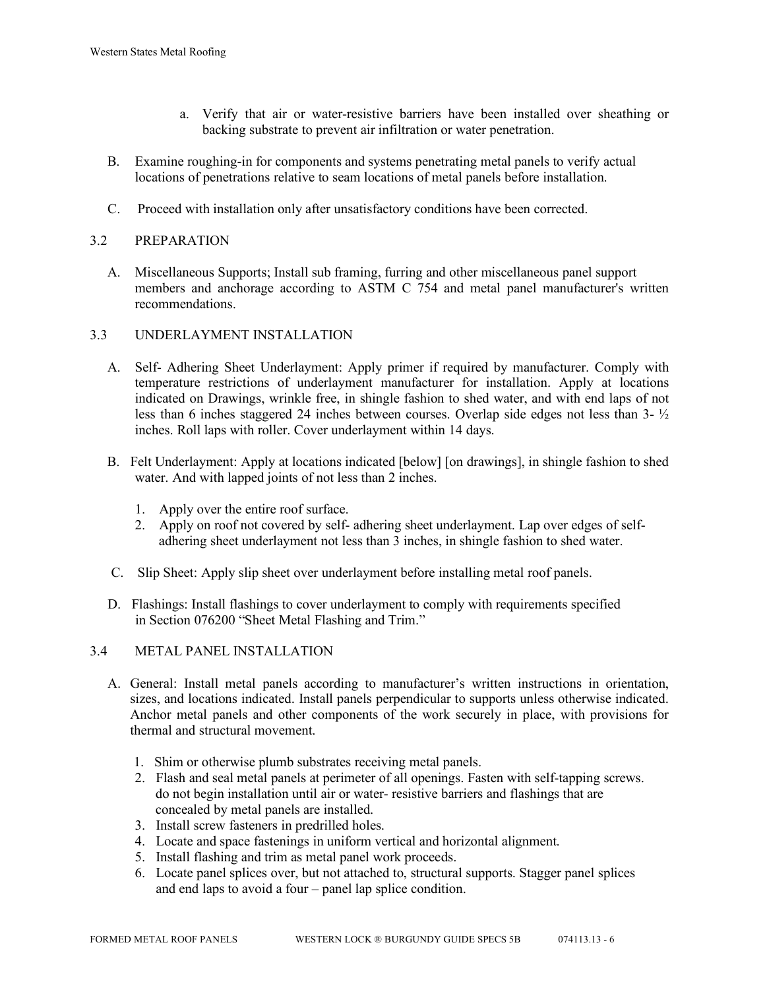- a. Verify that air or water-resistive barriers have been installed over sheathing or backing substrate to prevent air infiltration or water penetration.
- B. Examine roughing-in for components and systems penetrating metal panels to verify actual locations of penetrations relative to seam locations of metal panels before installation.
- C. Proceed with installation only after unsatisfactory conditions have been corrected.

# 3.2 PREPARATION

 A. Miscellaneous Supports; Install sub framing, furring and other miscellaneous panel support members and anchorage according to ASTM C 754 and metal panel manufacturer's written recommendations.

## 3.3 UNDERLAYMENT INSTALLATION

- A. Self- Adhering Sheet Underlayment: Apply primer if required by manufacturer. Comply with temperature restrictions of underlayment manufacturer for installation. Apply at locations indicated on Drawings, wrinkle free, in shingle fashion to shed water, and with end laps of not less than 6 inches staggered 24 inches between courses. Overlap side edges not less than 3- ½ inches. Roll laps with roller. Cover underlayment within 14 days.
- B. Felt Underlayment: Apply at locations indicated [below] [on drawings], in shingle fashion to shed water. And with lapped joints of not less than 2 inches.
	- 1. Apply over the entire roof surface.
	- 2. Apply on roof not covered by self- adhering sheet underlayment. Lap over edges of self adhering sheet underlayment not less than 3 inches, in shingle fashion to shed water.
- C. Slip Sheet: Apply slip sheet over underlayment before installing metal roof panels.
- D. Flashings: Install flashings to cover underlayment to comply with requirements specified in Section 076200 "Sheet Metal Flashing and Trim."

## 3.4 METAL PANEL INSTALLATION

- A. General: Install metal panels according to manufacturer's written instructions in orientation, sizes, and locations indicated. Install panels perpendicular to supports unless otherwise indicated. Anchor metal panels and other components of the work securely in place, with provisions for thermal and structural movement.
	- 1. Shim or otherwise plumb substrates receiving metal panels.
	- 2. Flash and seal metal panels at perimeter of all openings. Fasten with self-tapping screws. do not begin installation until air or water- resistive barriers and flashings that are concealed by metal panels are installed.
	- 3. Install screw fasteners in predrilled holes.
	- 4. Locate and space fastenings in uniform vertical and horizontal alignment.
	- 5. Install flashing and trim as metal panel work proceeds.
	- 6. Locate panel splices over, but not attached to, structural supports. Stagger panel splices and end laps to avoid a four – panel lap splice condition.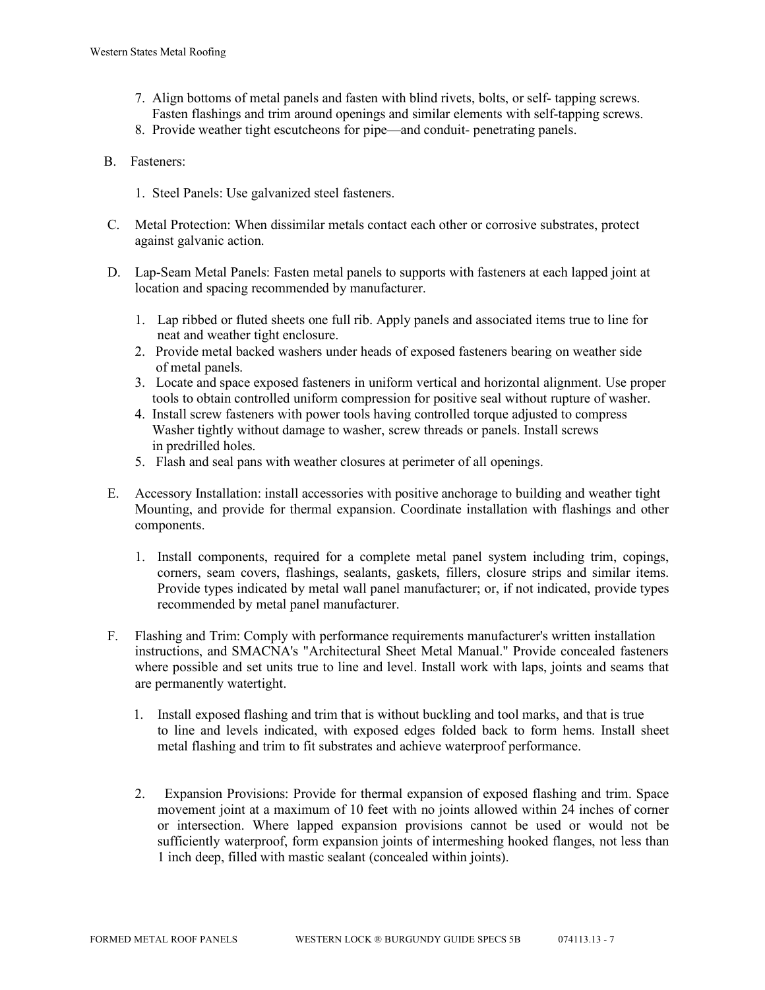- 7. Align bottoms of metal panels and fasten with blind rivets, bolts, or self- tapping screws. Fasten flashings and trim around openings and similar elements with self-tapping screws.
- 8. Provide weather tight escutcheons for pipe—and conduit- penetrating panels.
- B. Fasteners:
	- 1. Steel Panels: Use galvanized steel fasteners.
- C. Metal Protection: When dissimilar metals contact each other or corrosive substrates, protect against galvanic action.
- D. Lap-Seam Metal Panels: Fasten metal panels to supports with fasteners at each lapped joint at location and spacing recommended by manufacturer.
	- 1. Lap ribbed or fluted sheets one full rib. Apply panels and associated items true to line for neat and weather tight enclosure.
	- 2. Provide metal backed washers under heads of exposed fasteners bearing on weather side of metal panels.
	- 3. Locate and space exposed fasteners in uniform vertical and horizontal alignment. Use proper tools to obtain controlled uniform compression for positive seal without rupture of washer.
	- 4. Install screw fasteners with power tools having controlled torque adjusted to compress Washer tightly without damage to washer, screw threads or panels. Install screws in predrilled holes.
	- 5. Flash and seal pans with weather closures at perimeter of all openings.
- E. Accessory Installation: install accessories with positive anchorage to building and weather tight Mounting, and provide for thermal expansion. Coordinate installation with flashings and other components.
	- 1. Install components, required for a complete metal panel system including trim, copings, corners, seam covers, flashings, sealants, gaskets, fillers, closure strips and similar items. Provide types indicated by metal wall panel manufacturer; or, if not indicated, provide types recommended by metal panel manufacturer.
- F. Flashing and Trim: Comply with performance requirements manufacturer's written installation instructions, and SMACNA's "Architectural Sheet Metal Manual." Provide concealed fasteners where possible and set units true to line and level. Install work with laps, joints and seams that are permanently watertight.
	- 1. Install exposed flashing and trim that is without buckling and tool marks, and that is true to line and levels indicated, with exposed edges folded back to form hems. Install sheet metal flashing and trim to fit substrates and achieve waterproof performance.
	- 2. Expansion Provisions: Provide for thermal expansion of exposed flashing and trim. Space movement joint at a maximum of 10 feet with no joints allowed within 24 inches of corner or intersection. Where lapped expansion provisions cannot be used or would not be sufficiently waterproof, form expansion joints of intermeshing hooked flanges, not less than 1 inch deep, filled with mastic sealant (concealed within joints).